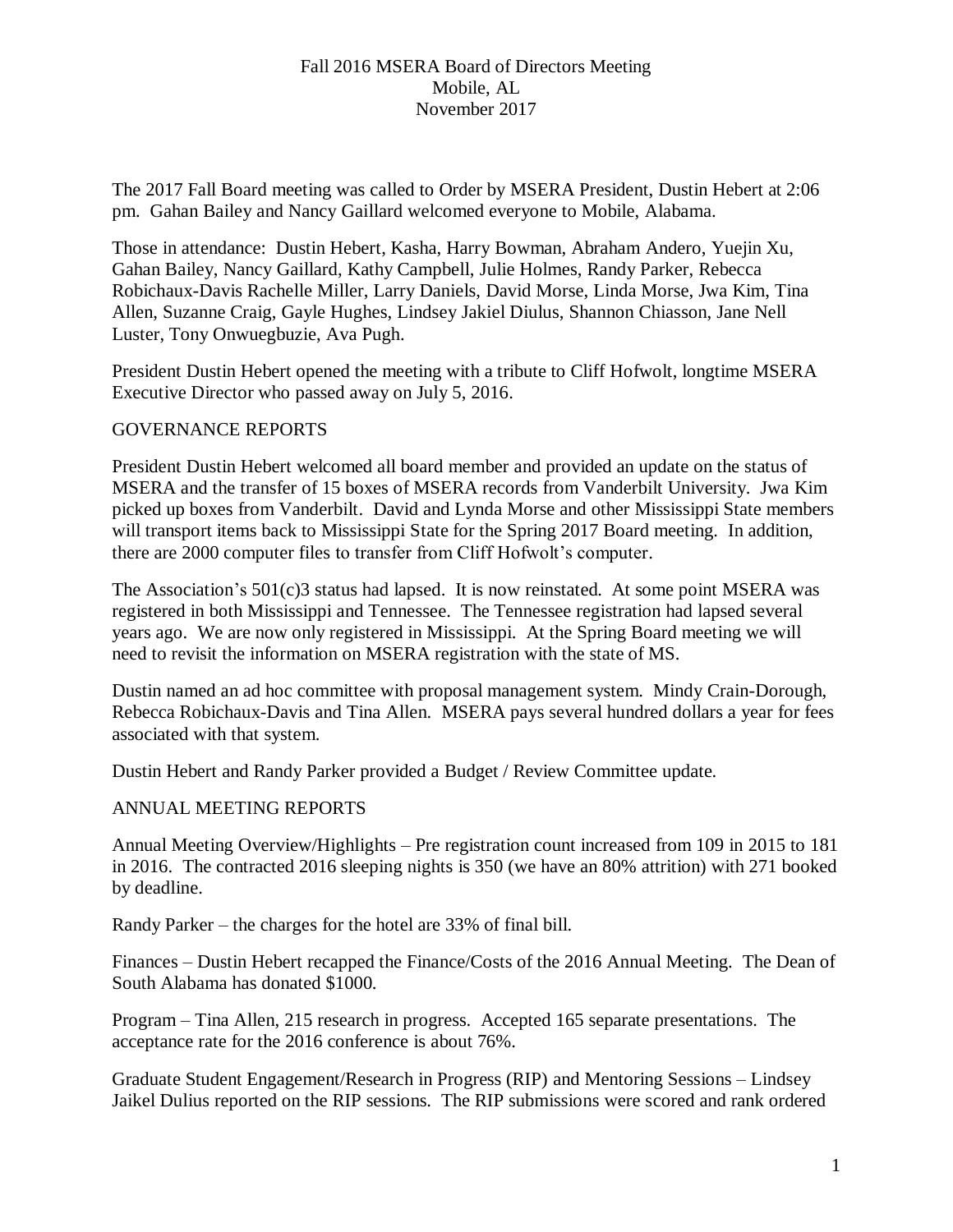The 2017 Fall Board meeting was called to Order by MSERA President, Dustin Hebert at 2:06 pm. Gahan Bailey and Nancy Gaillard welcomed everyone to Mobile, Alabama.

Those in attendance: Dustin Hebert, Kasha, Harry Bowman, Abraham Andero, Yuejin Xu, Gahan Bailey, Nancy Gaillard, Kathy Campbell, Julie Holmes, Randy Parker, Rebecca Robichaux-Davis Rachelle Miller, Larry Daniels, David Morse, Linda Morse, Jwa Kim, Tina Allen, Suzanne Craig, Gayle Hughes, Lindsey Jakiel Diulus, Shannon Chiasson, Jane Nell Luster, Tony Onwuegbuzie, Ava Pugh.

President Dustin Hebert opened the meeting with a tribute to Cliff Hofwolt, longtime MSERA Executive Director who passed away on July 5, 2016.

#### GOVERNANCE REPORTS

President Dustin Hebert welcomed all board member and provided an update on the status of MSERA and the transfer of 15 boxes of MSERA records from Vanderbilt University. Jwa Kim picked up boxes from Vanderbilt. David and Lynda Morse and other Mississippi State members will transport items back to Mississippi State for the Spring 2017 Board meeting. In addition, there are 2000 computer files to transfer from Cliff Hofwolt's computer.

The Association's 501(c)3 status had lapsed. It is now reinstated. At some point MSERA was registered in both Mississippi and Tennessee. The Tennessee registration had lapsed several years ago. We are now only registered in Mississippi. At the Spring Board meeting we will need to revisit the information on MSERA registration with the state of MS.

Dustin named an ad hoc committee with proposal management system. Mindy Crain-Dorough, Rebecca Robichaux-Davis and Tina Allen. MSERA pays several hundred dollars a year for fees associated with that system.

Dustin Hebert and Randy Parker provided a Budget / Review Committee update.

# ANNUAL MEETING REPORTS

Annual Meeting Overview/Highlights – Pre registration count increased from 109 in 2015 to 181 in 2016. The contracted 2016 sleeping nights is 350 (we have an 80% attrition) with 271 booked by deadline.

Randy Parker – the charges for the hotel are 33% of final bill.

Finances – Dustin Hebert recapped the Finance/Costs of the 2016 Annual Meeting. The Dean of South Alabama has donated \$1000.

Program – Tina Allen, 215 research in progress. Accepted 165 separate presentations. The acceptance rate for the 2016 conference is about 76%.

Graduate Student Engagement/Research in Progress (RIP) and Mentoring Sessions – Lindsey Jaikel Dulius reported on the RIP sessions. The RIP submissions were scored and rank ordered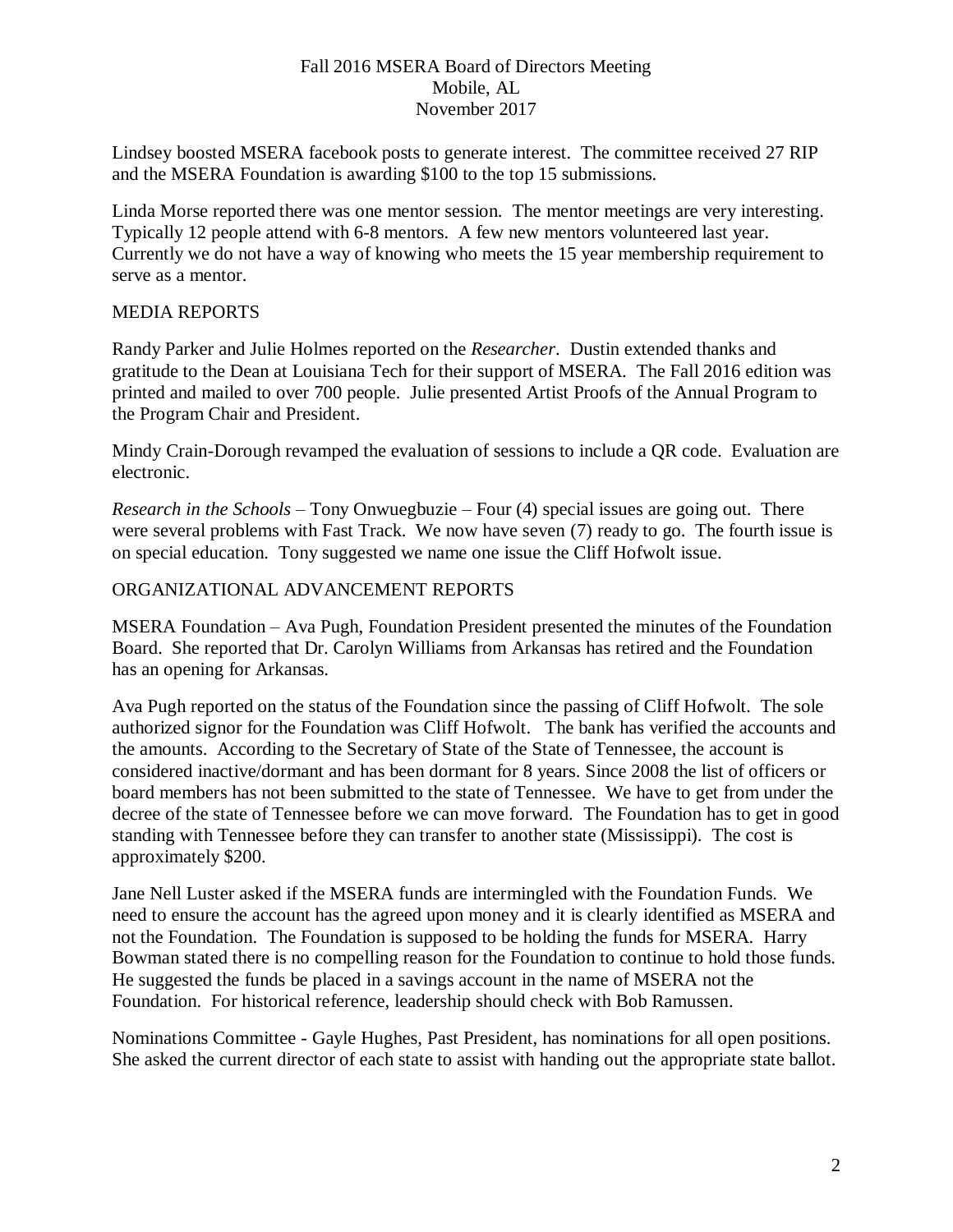Lindsey boosted MSERA facebook posts to generate interest. The committee received 27 RIP and the MSERA Foundation is awarding \$100 to the top 15 submissions.

Linda Morse reported there was one mentor session. The mentor meetings are very interesting. Typically 12 people attend with 6-8 mentors. A few new mentors volunteered last year. Currently we do not have a way of knowing who meets the 15 year membership requirement to serve as a mentor.

# MEDIA REPORTS

Randy Parker and Julie Holmes reported on the *Researcher*. Dustin extended thanks and gratitude to the Dean at Louisiana Tech for their support of MSERA. The Fall 2016 edition was printed and mailed to over 700 people. Julie presented Artist Proofs of the Annual Program to the Program Chair and President.

Mindy Crain-Dorough revamped the evaluation of sessions to include a QR code. Evaluation are electronic.

*Research in the Schools* – Tony Onwuegbuzie – Four (4) special issues are going out. There were several problems with Fast Track. We now have seven (7) ready to go. The fourth issue is on special education. Tony suggested we name one issue the Cliff Hofwolt issue.

# ORGANIZATIONAL ADVANCEMENT REPORTS

MSERA Foundation – Ava Pugh, Foundation President presented the minutes of the Foundation Board. She reported that Dr. Carolyn Williams from Arkansas has retired and the Foundation has an opening for Arkansas.

Ava Pugh reported on the status of the Foundation since the passing of Cliff Hofwolt. The sole authorized signor for the Foundation was Cliff Hofwolt. The bank has verified the accounts and the amounts. According to the Secretary of State of the State of Tennessee, the account is considered inactive/dormant and has been dormant for 8 years. Since 2008 the list of officers or board members has not been submitted to the state of Tennessee. We have to get from under the decree of the state of Tennessee before we can move forward. The Foundation has to get in good standing with Tennessee before they can transfer to another state (Mississippi). The cost is approximately \$200.

Jane Nell Luster asked if the MSERA funds are intermingled with the Foundation Funds. We need to ensure the account has the agreed upon money and it is clearly identified as MSERA and not the Foundation. The Foundation is supposed to be holding the funds for MSERA. Harry Bowman stated there is no compelling reason for the Foundation to continue to hold those funds. He suggested the funds be placed in a savings account in the name of MSERA not the Foundation. For historical reference, leadership should check with Bob Ramussen.

Nominations Committee - Gayle Hughes, Past President, has nominations for all open positions. She asked the current director of each state to assist with handing out the appropriate state ballot.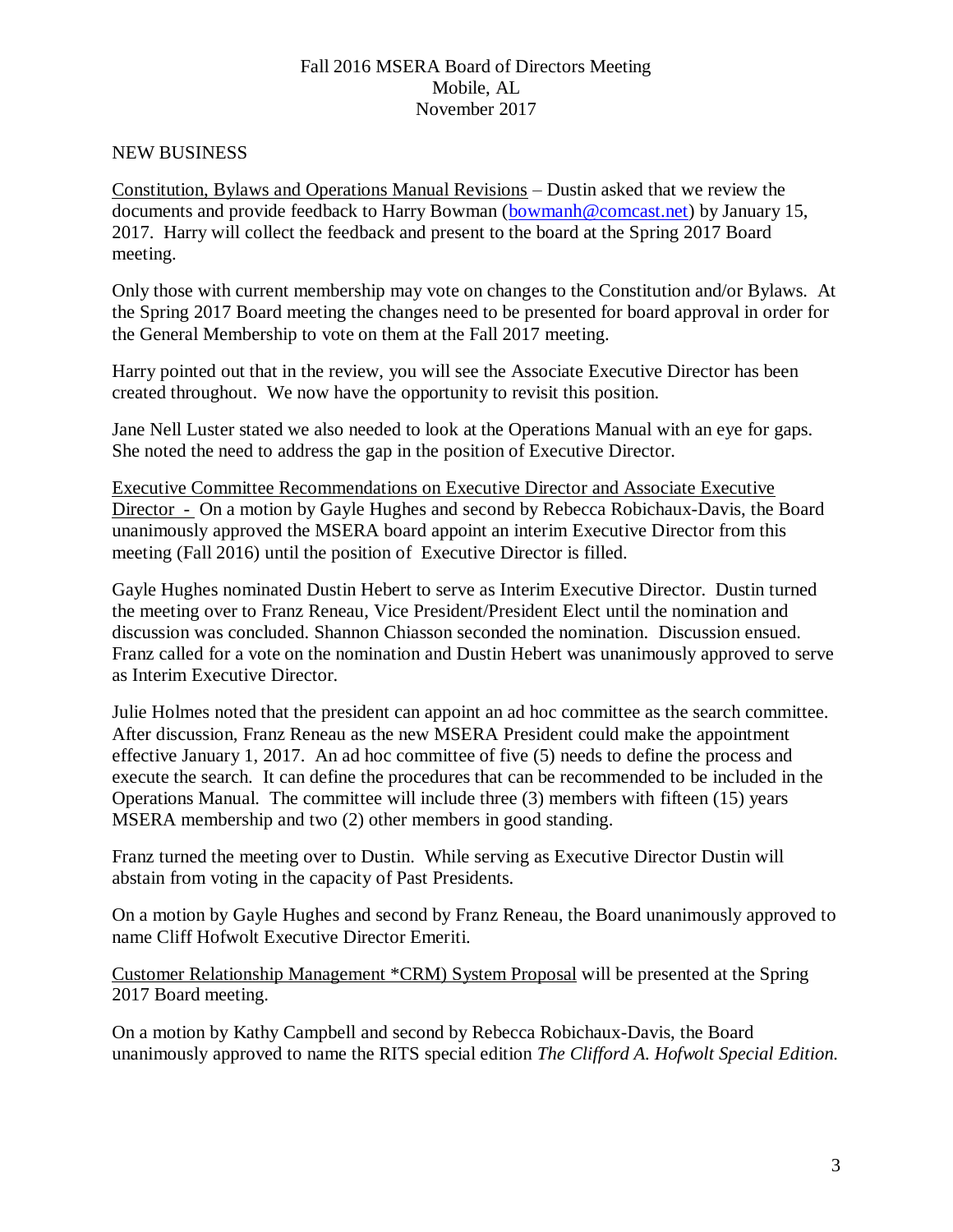#### NEW BUSINESS

Constitution, Bylaws and Operations Manual Revisions – Dustin asked that we review the documents and provide feedback to Harry Bowman [\(bowmanh@comcast.net\)](mailto:bowmanh@comcast.net) by January 15, 2017. Harry will collect the feedback and present to the board at the Spring 2017 Board meeting.

Only those with current membership may vote on changes to the Constitution and/or Bylaws. At the Spring 2017 Board meeting the changes need to be presented for board approval in order for the General Membership to vote on them at the Fall 2017 meeting.

Harry pointed out that in the review, you will see the Associate Executive Director has been created throughout. We now have the opportunity to revisit this position.

Jane Nell Luster stated we also needed to look at the Operations Manual with an eye for gaps. She noted the need to address the gap in the position of Executive Director.

Executive Committee Recommendations on Executive Director and Associate Executive Director - On a motion by Gayle Hughes and second by Rebecca Robichaux-Davis, the Board unanimously approved the MSERA board appoint an interim Executive Director from this meeting (Fall 2016) until the position of Executive Director is filled.

Gayle Hughes nominated Dustin Hebert to serve as Interim Executive Director. Dustin turned the meeting over to Franz Reneau, Vice President/President Elect until the nomination and discussion was concluded. Shannon Chiasson seconded the nomination. Discussion ensued. Franz called for a vote on the nomination and Dustin Hebert was unanimously approved to serve as Interim Executive Director.

Julie Holmes noted that the president can appoint an ad hoc committee as the search committee. After discussion, Franz Reneau as the new MSERA President could make the appointment effective January 1, 2017. An ad hoc committee of five (5) needs to define the process and execute the search. It can define the procedures that can be recommended to be included in the Operations Manual. The committee will include three (3) members with fifteen (15) years MSERA membership and two (2) other members in good standing.

Franz turned the meeting over to Dustin. While serving as Executive Director Dustin will abstain from voting in the capacity of Past Presidents.

On a motion by Gayle Hughes and second by Franz Reneau, the Board unanimously approved to name Cliff Hofwolt Executive Director Emeriti.

Customer Relationship Management \*CRM) System Proposal will be presented at the Spring 2017 Board meeting.

On a motion by Kathy Campbell and second by Rebecca Robichaux-Davis, the Board unanimously approved to name the RITS special edition *The Clifford A. Hofwolt Special Edition.*